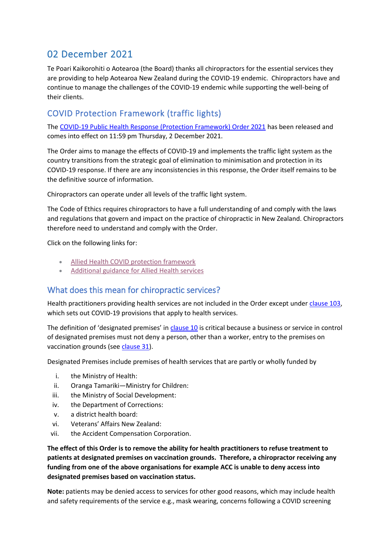# 02 December 2021

Te Poari Kaikorohiti o Aotearoa (the Board) thanks all chiropractors for the essential services they are providing to help Aotearoa New Zealand during the COVID-19 endemic. Chiropractors have and continue to manage the challenges of the COVID-19 endemic while supporting the well-being of their clients.

## COVID Protection Framework (traffic lights)

The [COVID-19 Public Health Response \(Protection Framework\) Order 2021](https://www.legislation.govt.nz/regulation/public/2021/0386/latest/LMS563461.html) has been released and comes into effect on 11:59 pm Thursday, 2 December 2021.

The Order aims to manage the effects of COVID-19 and implements the traffic light system as the country transitions from the strategic goal of elimination to minimisation and protection in its COVID-19 response. If there are any inconsistencies in this response, the Order itself remains to be the definitive source of information.

Chiropractors can operate under all levels of the traffic light system.

The Code of Ethics requires chiropractors to have a full understanding of and comply with the laws and regulations that govern and impact on the practice of chiropractic in New Zealand. Chiropractors therefore need to understand and comply with the Order.

Click on the following links for:

- [Allied Health COVID protection framework](https://www.chiropracticboard.org.nz/wp-content/uploads/2021/08/Allied-Health-CPF-Flow-Chart-FINAL.pdf)
- [Additional guidance for Allied Health services](https://www.chiropracticboard.org.nz/wp-content/uploads/2021/08/Additional-guidance-for-allied-health-services-COVID-19-Protection-Framework-FINAL.pdf)

### What does this mean for chiropractic services?

Health practitioners providing health services are not included in the Order except under [clause 103,](https://www.legislation.govt.nz/regulation/public/2021/0386/latest/LMS599185.html) which sets out COVID-19 provisions that apply to health services.

The definition of 'designated premises' in [clause](https://www.legislation.govt.nz/regulation/public/2021/0386/latest/LMS607377.html) 10 is critical because a business or service in control of designated premises must not deny a person, other than a worker, entry to the premises on vaccination grounds (see [clause 31\)](https://www.legislation.govt.nz/regulation/public/2021/0386/latest/LMS579542.html#LMS579542).

Designated Premises include premises of health services that are partly or wholly funded by

- i. the Ministry of Health:
- ii. Oranga Tamariki—Ministry for Children:
- iii. the Ministry of Social Development:
- iv. the Department of Corrections:
- v. a district health board:
- vi. Veterans' Affairs New Zealand:
- vii. the Accident Compensation Corporation.

**The effect of this Order is to remove the ability for health practitioners to refuse treatment to patients at designated premises on vaccination grounds. Therefore, a chiropractor receiving any funding from one of the above organisations for example ACC is unable to deny access into designated premises based on vaccination status.**

**Note:** patients may be denied access to services for other good reasons, which may include health and safety requirements of the service e.g., mask wearing, concerns following a COVID screening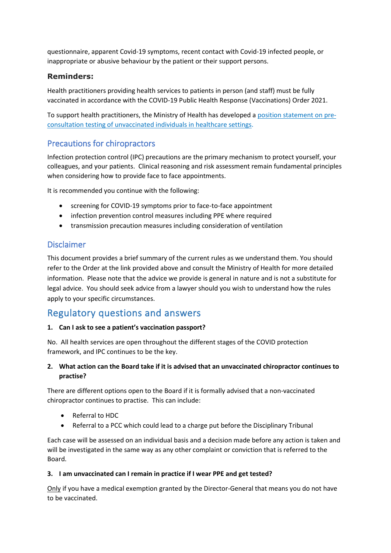questionnaire, apparent Covid-19 symptoms, recent contact with Covid-19 infected people, or inappropriate or abusive behaviour by the patient or their support persons.

### **Reminders:**

Health practitioners providing health services to patients in person (and staff) must be fully vaccinated in accordance with the COVID-19 Public Health Response (Vaccinations) Order 2021.

To support health practitioners, the Ministry of Health has developed a [position statement](https://www.health.govt.nz/our-work/diseases-and-conditions/covid-19-novel-coronavirus/covid-19-information-health-professionals/covid-19-advice-all-health-professionals#position) on pre[consultation testing of unvaccinated individuals in healthcare settings.](https://www.health.govt.nz/our-work/diseases-and-conditions/covid-19-novel-coronavirus/covid-19-information-health-professionals/covid-19-advice-all-health-professionals#position)

## Precautions for chiropractors

Infection protection control (IPC) precautions are the primary mechanism to protect yourself, your colleagues, and your patients. Clinical reasoning and risk assessment remain fundamental principles when considering how to provide face to face appointments.

It is recommended you continue with the following:

- screening for COVID-19 symptoms prior to face-to-face appointment
- infection prevention control measures including PPE where required
- transmission precaution measures including consideration of ventilation

### Disclaimer

This document provides a brief summary of the current rules as we understand them. You should refer to the Order at the link provided above and consult the Ministry of Health for more detailed information. Please note that the advice we provide is general in nature and is not a substitute for legal advice. You should seek advice from a lawyer should you wish to understand how the rules apply to your specific circumstances.

# Regulatory questions and answers

#### **1. Can I ask to see a patient's vaccination passport?**

No. All health services are open throughout the different stages of the COVID protection framework, and IPC continues to be the key.

#### **2. What action can the Board take if it is advised that an unvaccinated chiropractor continues to practise?**

There are different options open to the Board if it is formally advised that a non-vaccinated chiropractor continues to practise. This can include:

- Referral to HDC
- Referral to a PCC which could lead to a charge put before the Disciplinary Tribunal

Each case will be assessed on an individual basis and a decision made before any action is taken and will be investigated in the same way as any other complaint or conviction that is referred to the Board.

#### **3. I am unvaccinated can I remain in practice if I wear PPE and get tested?**

Only if you have a medical exemption granted by the Director-General that means you do not have to be vaccinated.